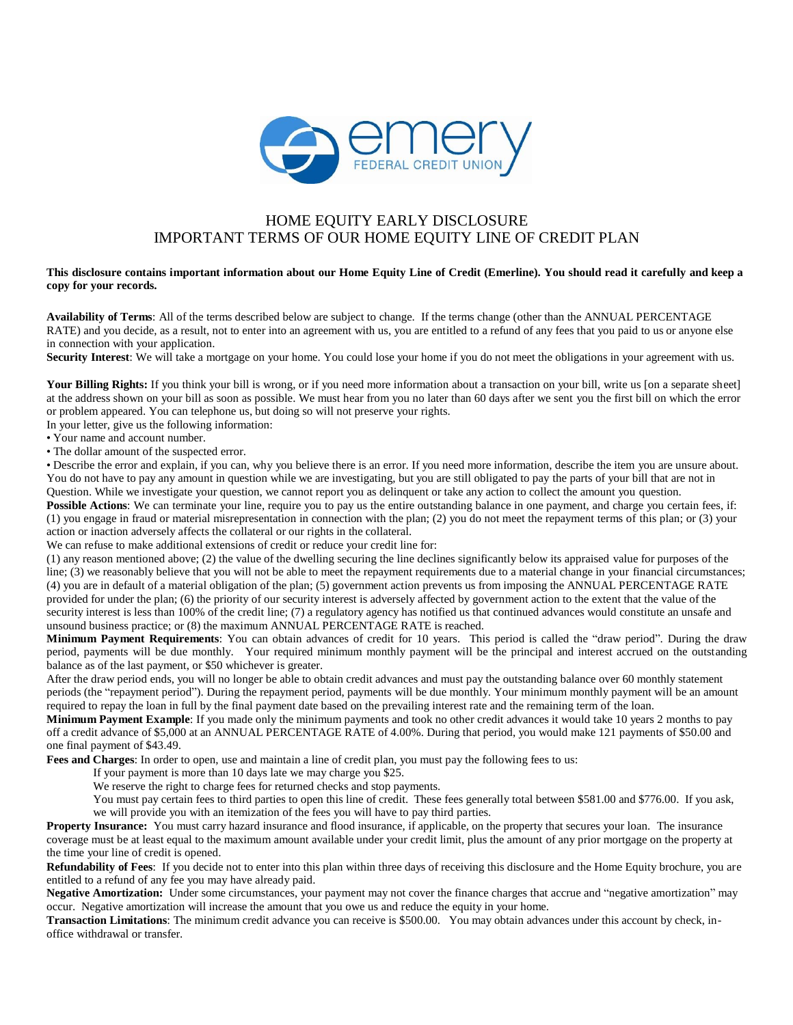

## HOME EQUITY EARLY DISCLOSURE IMPORTANT TERMS OF OUR HOME EQUITY LINE OF CREDIT PLAN

## This disclosure contains important information about our Home Equity Line of Credit (Emerline). You should read it carefully and keep a **copy for your records.**

**Availability of Terms**: All of the terms described below are subject to change. If the terms change (other than the ANNUAL PERCENTAGE RATE) and you decide, as a result, not to enter into an agreement with us, you are entitled to a refund of any fees that you paid to us or anyone else in connection with your application.

**Security Interest**: We will take a mortgage on your home. You could lose your home if you do not meet the obligations in your agreement with us.

Your Billing Rights: If you think your bill is wrong, or if you need more information about a transaction on your bill, write us [on a separate sheet] at the address shown on your bill as soon as possible. We must hear from you no later than 60 days after we sent you the first bill on which the error or problem appeared. You can telephone us, but doing so will not preserve your rights.

In your letter, give us the following information:

• Your name and account number.

• The dollar amount of the suspected error.

• Describe the error and explain, if you can, why you believe there is an error. If you need more information, describe the item you are unsure about. You do not have to pay any amount in question while we are investigating, but you are still obligated to pay the parts of your bill that are not in Question. While we investigate your question, we cannot report you as delinquent or take any action to collect the amount you question.

**Possible Actions**: We can terminate your line, require you to pay us the entire outstanding balance in one payment, and charge you certain fees, if: (1) you engage in fraud or material misrepresentation in connection with the plan; (2) you do not meet the repayment terms of this plan; or (3) your action or inaction adversely affects the collateral or our rights in the collateral.

We can refuse to make additional extensions of credit or reduce your credit line for:

(1) any reason mentioned above; (2) the value of the dwelling securing the line declines significantly below its appraised value for purposes of the line; (3) we reasonably believe that you will not be able to meet the repayment requirements due to a material change in your financial circumstances; (4) you are in default of a material obligation of the plan; (5) government action prevents us from imposing the ANNUAL PERCENTAGE RATE provided for under the plan; (6) the priority of our security interest is adversely affected by government action to the extent that the value of the security interest is less than 100% of the credit line; (7) a regulatory agency has notified us that continued advances would constitute an unsafe and unsound business practice; or (8) the maximum ANNUAL PERCENTAGE RATE is reached.

**Minimum Payment Requirements**: You can obtain advances of credit for 10 years. This period is called the "draw period". During the draw period, payments will be due monthly. Your required minimum monthly payment will be the principal and interest accrued on the outstanding balance as of the last payment, or \$50 whichever is greater.

After the draw period ends, you will no longer be able to obtain credit advances and must pay the outstanding balance over 60 monthly statement periods (the "repayment period"). During the repayment period, payments will be due monthly. Your minimum monthly payment will be an amount required to repay the loan in full by the final payment date based on the prevailing interest rate and the remaining term of the loan.

**Minimum Payment Example**: If you made only the minimum payments and took no other credit advances it would take 10 years 2 months to pay off a credit advance of \$5,000 at an ANNUAL PERCENTAGE RATE of 4.00%. During that period, you would make 121 payments of \$50.00 and one final payment of \$43.49.

**Fees and Charges**: In order to open, use and maintain a line of credit plan, you must pay the following fees to us:

If your payment is more than 10 days late we may charge you \$25.

We reserve the right to charge fees for returned checks and stop payments.

You must pay certain fees to third parties to open this line of credit. These fees generally total between \$581.00 and \$776.00. If you ask, we will provide you with an itemization of the fees you will have to pay third parties.

**Property Insurance:** You must carry hazard insurance and flood insurance, if applicable, on the property that secures your loan. The insurance coverage must be at least equal to the maximum amount available under your credit limit, plus the amount of any prior mortgage on the property at the time your line of credit is opened.

**Refundability of Fees**: If you decide not to enter into this plan within three days of receiving this disclosure and the Home Equity brochure, you are entitled to a refund of any fee you may have already paid.

**Negative Amortization:** Under some circumstances, your payment may not cover the finance charges that accrue and "negative amortization" may occur. Negative amortization will increase the amount that you owe us and reduce the equity in your home.

**Transaction Limitations**: The minimum credit advance you can receive is \$500.00. You may obtain advances under this account by check, inoffice withdrawal or transfer.